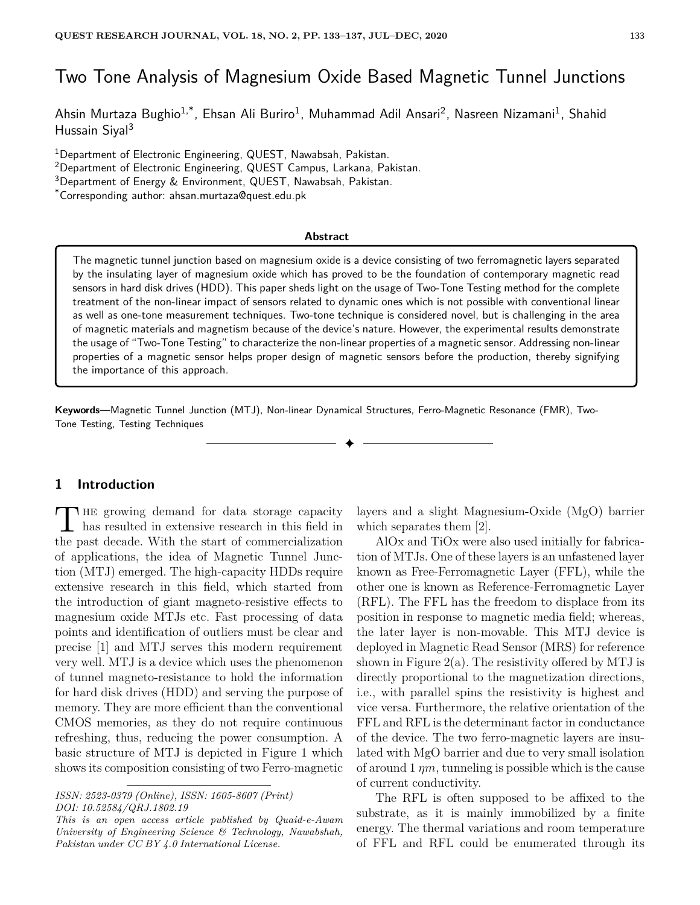# Two Tone Analysis of Magnesium Oxide Based Magnetic Tunnel Junctions

Ahsin Murtaza Bughio<sup>1,\*</sup>, Ehsan Ali Buriro<sup>1</sup>, Muhammad Adil Ansari<sup>2</sup>, Nasreen Nizamani<sup>1</sup>, Shahid Hussain Siyal<sup>3</sup>

<sup>1</sup>Department of Electronic Engineering, QUEST, Nawabsah, Pakistan.

<sup>2</sup>Department of Electronic Engineering, QUEST Campus, Larkana, Pakistan.

<sup>3</sup>Department of Energy & Environment, QUEST, Nawabsah, Pakistan.

\*Corresponding author: ahsan.murtaza@quest.edu.pk

### **Abstract**

The magnetic tunnel junction based on magnesium oxide is a device consisting of two ferromagnetic layers separated by the insulating layer of magnesium oxide which has proved to be the foundation of contemporary magnetic read sensors in hard disk drives (HDD). This paper sheds light on the usage of Two-Tone Testing method for the complete treatment of the non-linear impact of sensors related to dynamic ones which is not possible with conventional linear as well as one-tone measurement techniques. Two-tone technique is considered novel, but is challenging in the area of magnetic materials and magnetism because of the device's nature. However, the experimental results demonstrate the usage of "Two-Tone Testing" to characterize the non-linear properties of a magnetic sensor. Addressing non-linear properties of a magnetic sensor helps proper design of magnetic sensors before the production, thereby signifying the importance of this approach.

✦

**Keywords**—Magnetic Tunnel Junction (MTJ), Non-linear Dynamical Structures, Ferro-Magnetic Resonance (FMR), Two-Tone Testing, Testing Techniques

# **1 Introduction**

THE growing demand for data storage capacity<br>has resulted in extensive research in this field in **HE** growing demand for data storage capacity the past decade. With the start of commercialization of applications, the idea of Magnetic Tunnel Junction (MTJ) emerged. The high-capacity HDDs require extensive research in this field, which started from the introduction of giant magneto-resistive effects to magnesium oxide MTJs etc. Fast processing of data points and identification of outliers must be clear and precise [1] and MTJ serves this modern requirement very well. MTJ is a device which uses the phenomenon of tunnel magneto-resistance to hold the information for hard disk drives (HDD) and serving the purpose of memory. They are more efficient than the conventional CMOS memories, as they do not require continuous refreshing, thus, reducing the power consumption. A basic structure of MTJ is depicted in Figure 1 which shows its composition consisting of two Ferro-magnetic

layers and a slight Magnesium-Oxide (MgO) barrier which separates them [2].

AlOx and TiOx were also used initially for fabrication of MTJs. One of these layers is an unfastened layer known as Free-Ferromagnetic Layer (FFL), while the other one is known as Reference-Ferromagnetic Layer (RFL). The FFL has the freedom to displace from its position in response to magnetic media field; whereas, the later layer is non-movable. This MTJ device is deployed in Magnetic Read Sensor (MRS) for reference shown in Figure  $2(a)$ . The resistivity offered by MTJ is directly proportional to the magnetization directions, i.e., with parallel spins the resistivity is highest and vice versa. Furthermore, the relative orientation of the FFL and RFL is the determinant factor in conductance of the device. The two ferro-magnetic layers are insulated with MgO barrier and due to very small isolation of around 1 *ηm*, tunneling is possible which is the cause of current conductivity.

The RFL is often supposed to be affixed to the substrate, as it is mainly immobilized by a finite energy. The thermal variations and room temperature of FFL and RFL could be enumerated through its

*ISSN: 2523-0379 (Online), ISSN: 1605-8607 (Print) DOI: 10.52584/QRJ.1802.19*

*This is an open access article published by Quaid-e-Awam University of Engineering Science & Technology, Nawabshah, Pakistan under CC BY 4.0 International License.*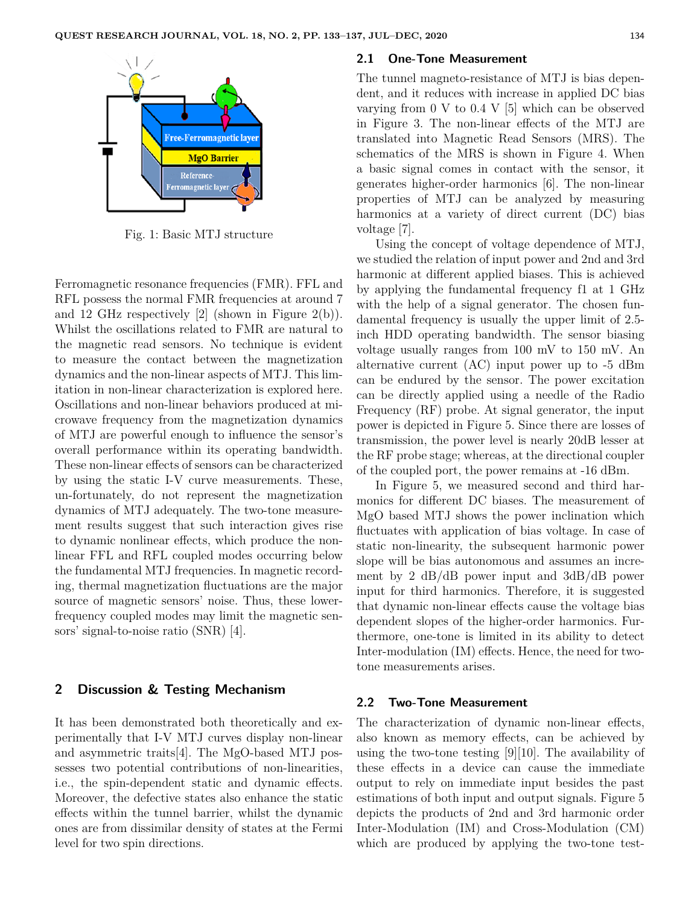

Fig. 1: Basic MTJ structure

Ferromagnetic resonance frequencies (FMR). FFL and RFL possess the normal FMR frequencies at around 7 and 12 GHz respectively [2] (shown in Figure 2(b)). Whilst the oscillations related to FMR are natural to the magnetic read sensors. No technique is evident to measure the contact between the magnetization dynamics and the non-linear aspects of MTJ. This limitation in non-linear characterization is explored here. Oscillations and non-linear behaviors produced at microwave frequency from the magnetization dynamics of MTJ are powerful enough to influence the sensor's overall performance within its operating bandwidth. These non-linear effects of sensors can be characterized by using the static I-V curve measurements. These, un-fortunately, do not represent the magnetization dynamics of MTJ adequately. The two-tone measurement results suggest that such interaction gives rise to dynamic nonlinear effects, which produce the nonlinear FFL and RFL coupled modes occurring below the fundamental MTJ frequencies. In magnetic recording, thermal magnetization fluctuations are the major source of magnetic sensors' noise. Thus, these lowerfrequency coupled modes may limit the magnetic sensors' signal-to-noise ratio (SNR) [4].

## **2 Discussion & Testing Mechanism**

It has been demonstrated both theoretically and experimentally that I-V MTJ curves display non-linear and asymmetric traits[4]. The MgO-based MTJ possesses two potential contributions of non-linearities, i.e., the spin-dependent static and dynamic effects. Moreover, the defective states also enhance the static effects within the tunnel barrier, whilst the dynamic ones are from dissimilar density of states at the Fermi level for two spin directions.

#### **2.1 One-Tone Measurement**

The tunnel magneto-resistance of MTJ is bias dependent, and it reduces with increase in applied DC bias varying from 0 V to 0.4 V [5] which can be observed in Figure 3. The non-linear effects of the MTJ are translated into Magnetic Read Sensors (MRS). The schematics of the MRS is shown in Figure 4. When a basic signal comes in contact with the sensor, it generates higher-order harmonics [6]. The non-linear properties of MTJ can be analyzed by measuring harmonics at a variety of direct current (DC) bias voltage [7].

Using the concept of voltage dependence of MTJ, we studied the relation of input power and 2nd and 3rd harmonic at different applied biases. This is achieved by applying the fundamental frequency f1 at 1 GHz with the help of a signal generator. The chosen fundamental frequency is usually the upper limit of 2.5 inch HDD operating bandwidth. The sensor biasing voltage usually ranges from 100 mV to 150 mV. An alternative current (AC) input power up to -5 dBm can be endured by the sensor. The power excitation can be directly applied using a needle of the Radio Frequency (RF) probe. At signal generator, the input power is depicted in Figure 5. Since there are losses of transmission, the power level is nearly 20dB lesser at the RF probe stage; whereas, at the directional coupler of the coupled port, the power remains at -16 dBm.

In Figure 5, we measured second and third harmonics for different DC biases. The measurement of MgO based MTJ shows the power inclination which fluctuates with application of bias voltage. In case of static non-linearity, the subsequent harmonic power slope will be bias autonomous and assumes an increment by 2 dB/dB power input and 3dB/dB power input for third harmonics. Therefore, it is suggested that dynamic non-linear effects cause the voltage bias dependent slopes of the higher-order harmonics. Furthermore, one-tone is limited in its ability to detect Inter-modulation (IM) effects. Hence, the need for twotone measurements arises.

## **2.2 Two-Tone Measurement**

The characterization of dynamic non-linear effects, also known as memory effects, can be achieved by using the two-tone testing [9][10]. The availability of these effects in a device can cause the immediate output to rely on immediate input besides the past estimations of both input and output signals. Figure 5 depicts the products of 2nd and 3rd harmonic order Inter-Modulation (IM) and Cross-Modulation (CM) which are produced by applying the two-tone test-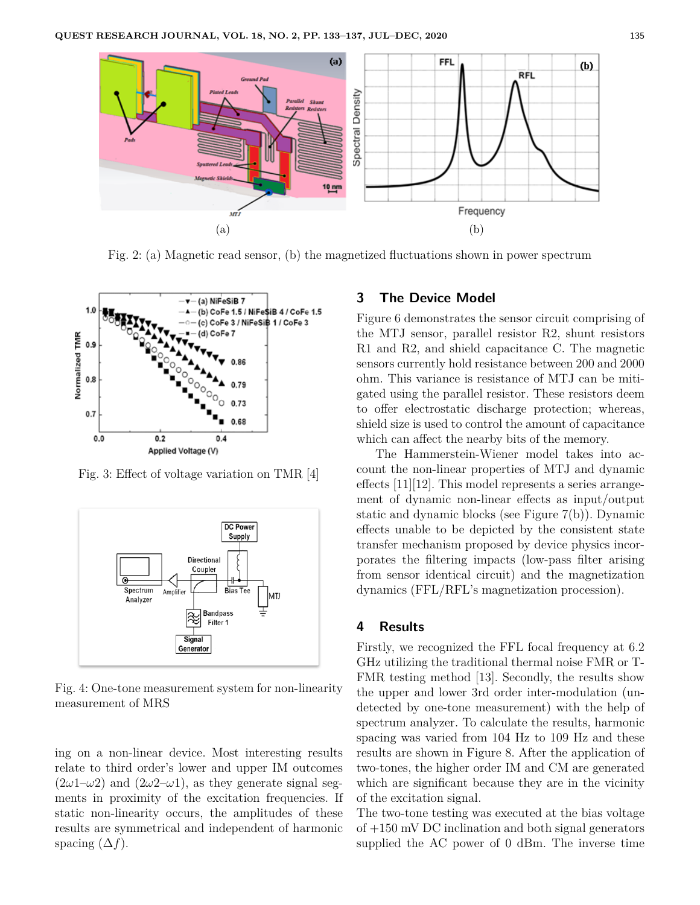

Fig. 2: (a) Magnetic read sensor, (b) the magnetized fluctuations shown in power spectrum



Fig. 3: Effect of voltage variation on TMR [4]



Fig. 4: One-tone measurement system for non-linearity measurement of MRS

ing on a non-linear device. Most interesting results relate to third order's lower and upper IM outcomes  $(2\omega1-\omega2)$  and  $(2\omega2-\omega1)$ , as they generate signal segments in proximity of the excitation frequencies. If static non-linearity occurs, the amplitudes of these results are symmetrical and independent of harmonic spacing  $(\Delta f)$ .

# **3 The Device Model**

Figure 6 demonstrates the sensor circuit comprising of the MTJ sensor, parallel resistor R2, shunt resistors R1 and R2, and shield capacitance C. The magnetic sensors currently hold resistance between 200 and 2000 ohm. This variance is resistance of MTJ can be mitigated using the parallel resistor. These resistors deem to offer electrostatic discharge protection; whereas, shield size is used to control the amount of capacitance which can affect the nearby bits of the memory.

The Hammerstein-Wiener model takes into account the non-linear properties of MTJ and dynamic effects [11][12]. This model represents a series arrangement of dynamic non-linear effects as input/output static and dynamic blocks (see Figure 7(b)). Dynamic effects unable to be depicted by the consistent state transfer mechanism proposed by device physics incorporates the filtering impacts (low-pass filter arising from sensor identical circuit) and the magnetization dynamics (FFL/RFL's magnetization procession).

## **4 Results**

Firstly, we recognized the FFL focal frequency at 6.2 GHz utilizing the traditional thermal noise FMR or T-FMR testing method [13]. Secondly, the results show the upper and lower 3rd order inter-modulation (undetected by one-tone measurement) with the help of spectrum analyzer. To calculate the results, harmonic spacing was varied from 104 Hz to 109 Hz and these results are shown in Figure 8. After the application of two-tones, the higher order IM and CM are generated which are significant because they are in the vicinity of the excitation signal.

The two-tone testing was executed at the bias voltage of +150 mV DC inclination and both signal generators supplied the AC power of 0 dBm. The inverse time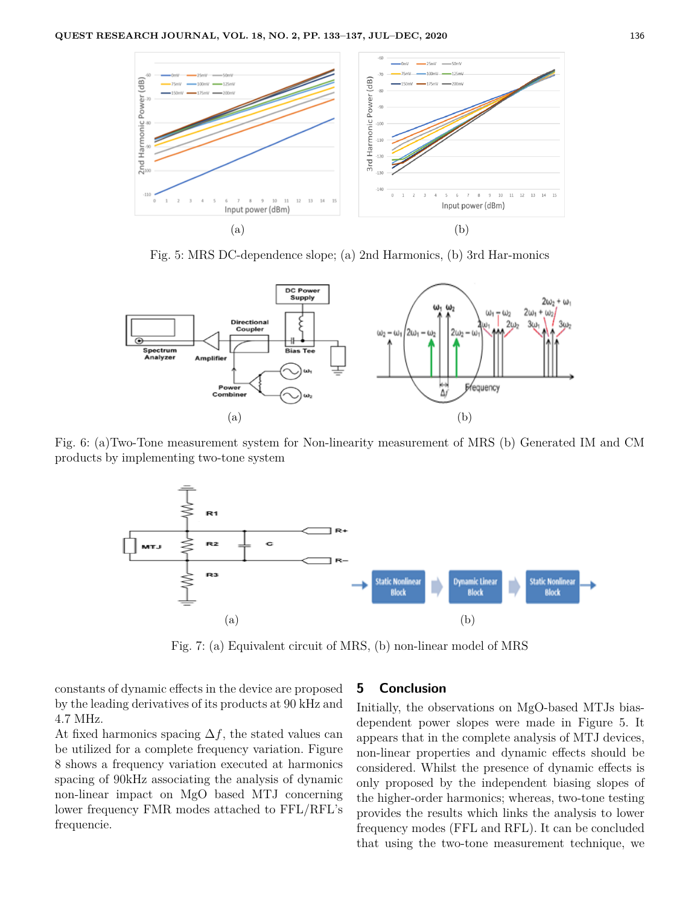

Fig. 5: MRS DC-dependence slope; (a) 2nd Harmonics, (b) 3rd Har-monics



Fig. 6: (a)Two-Tone measurement system for Non-linearity measurement of MRS (b) Generated IM and CM products by implementing two-tone system



Fig. 7: (a) Equivalent circuit of MRS, (b) non-linear model of MRS

constants of dynamic effects in the device are proposed by the leading derivatives of its products at 90 kHz and 4.7 MHz.

At fixed harmonics spacing  $\Delta f$ , the stated values can be utilized for a complete frequency variation. Figure 8 shows a frequency variation executed at harmonics spacing of 90kHz associating the analysis of dynamic non-linear impact on MgO based MTJ concerning lower frequency FMR modes attached to FFL/RFL's frequencie.

## **5 Conclusion**

Initially, the observations on MgO-based MTJs biasdependent power slopes were made in Figure 5. It appears that in the complete analysis of MTJ devices, non-linear properties and dynamic effects should be considered. Whilst the presence of dynamic effects is only proposed by the independent biasing slopes of the higher-order harmonics; whereas, two-tone testing provides the results which links the analysis to lower frequency modes (FFL and RFL). It can be concluded that using the two-tone measurement technique, we